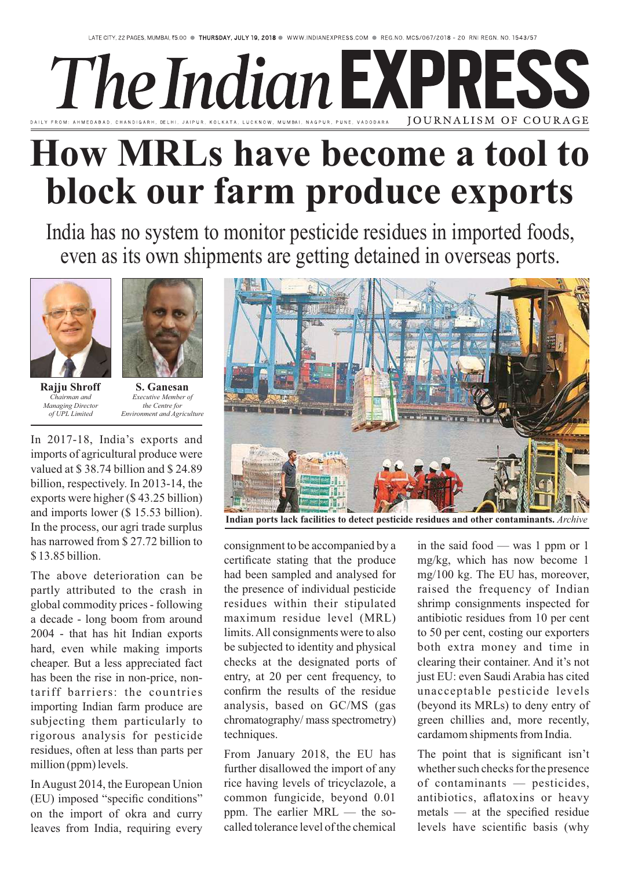## The Indian EXPRES: E. VADODARA JOURNALISM OF COURAGE

## **How MRLs have become a tool to block our farm produce exports**

India has no system to monitor pesticide residues in imported foods, even as its own shipments are getting detained in overseas ports.





*Chairman and Managing Director of UPL Limited*

**Rajju Shroff S. Ganesan** *Executive Member of the Centre for Environment and Agriculture*

In 2017-18, India's exports and imports of agricultural produce were valued at \$ 38.74 billion and \$ 24.89 billion, respectively. In 2013-14, the exports were higher (\$ 43.25 billion) and imports lower (\$ 15.53 billion). In the process, our agri trade surplus has narrowed from \$ 27.72 billion to \$ 13.85 billion.

The above deterioration can be partly attributed to the crash in global commodity prices - following a decade - long boom from around 2004 - that has hit Indian exports hard, even while making imports cheaper. But a less appreciated fact has been the rise in non-price, nontariff barriers: the countries importing Indian farm produce are subjecting them particularly to rigorous analysis for pesticide residues, often at less than parts per million (ppm) levels.

In August 2014, the European Union (EU) imposed "specific conditions" on the import of okra and curry leaves from India, requiring every



**Indian ports lack facilities to detect pesticide residues and other contaminants.** *Archive*

consignment to be accompanied by a certificate stating that the produce had been sampled and analysed for the presence of individual pesticide residues within their stipulated maximum residue level (MRL) limits. All consignments were to also be subjected to identity and physical checks at the designated ports of entry, at 20 per cent frequency, to confirm the results of the residue analysis, based on GC/MS (gas chromatography/ mass spectrometry) techniques.

From January 2018, the EU has further disallowed the import of any rice having levels of tricyclazole, a common fungicide, beyond 0.01 ppm. The earlier MRL — the socalled tolerance level of the chemical in the said food — was 1 ppm or 1 mg/kg, which has now become 1 mg/100 kg. The EU has, moreover, raised the frequency of Indian shrimp consignments inspected for antibiotic residues from 10 per cent to 50 per cent, costing our exporters both extra money and time in clearing their container. And it's not just EU: even Saudi Arabia has cited unacceptable pesticide levels (beyond its MRLs) to deny entry of green chillies and, more recently, cardamom shipments from India.

The point that is significant isn't whether such checks for the presence of contaminants — pesticides, antibiotics, aflatoxins or heavy metals — at the specified residue levels have scientific basis (why